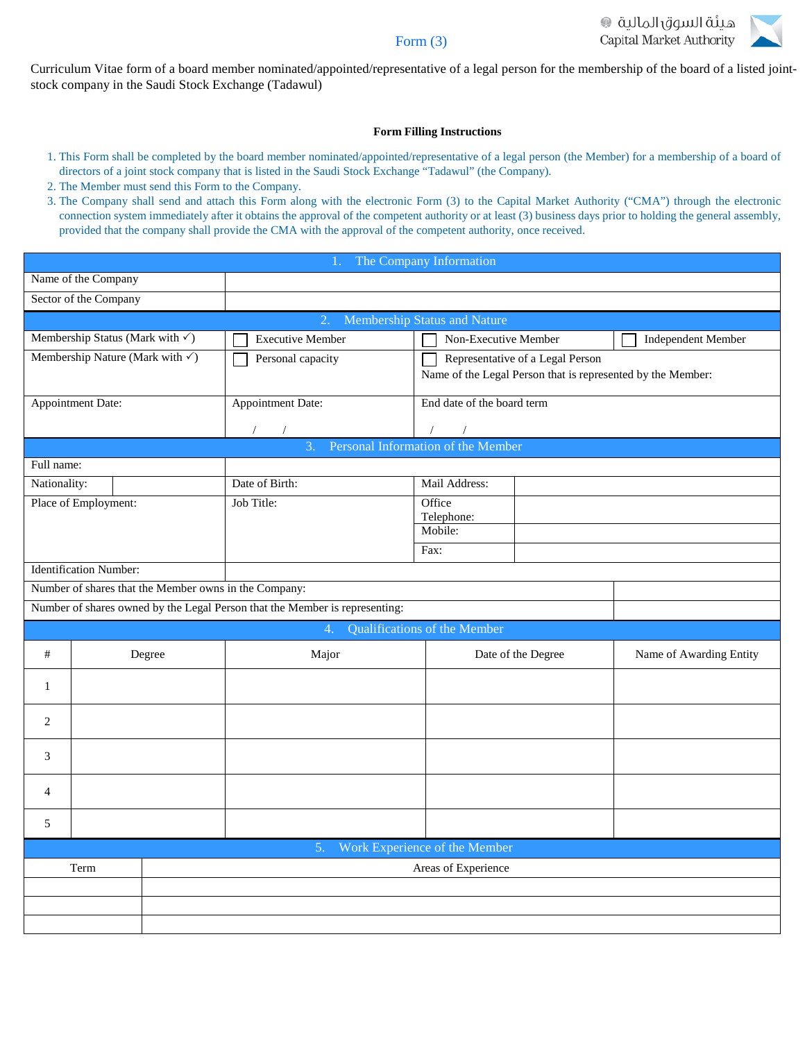



Curriculum Vitae form of a board member nominated/appointed/representative of a legal person for the membership of the board of a listed jointstock company in the Saudi Stock Exchange (Tadawul)

#### **Form Filling Instructions**

- 1. This Form shall be completed by the board member nominated/appointed/representative of a legal person (the Member) for a membership of a board of directors of a joint stock company that is listed in the Saudi Stock Exchange "Tadawul" (the Company).
- 2. The Member must send this Form to the Company.
- 3. The Company shall send and attach this Form along with the electronic Form (3) to the Capital Market Authority ("CMA") through the electronic connection system immediately after it obtains the approval of the competent authority or at least (3) business days prior to holding the general assembly, provided that the company shall provide the CMA with the approval of the competent authority, once received.

| The Company Information                         |                                             |  |                                                                                                                                      |                                                             |                         |  |  |  |
|-------------------------------------------------|---------------------------------------------|--|--------------------------------------------------------------------------------------------------------------------------------------|-------------------------------------------------------------|-------------------------|--|--|--|
| Name of the Company                             |                                             |  |                                                                                                                                      |                                                             |                         |  |  |  |
| Sector of the Company                           |                                             |  |                                                                                                                                      |                                                             |                         |  |  |  |
| Membership Status and Nature<br>2.              |                                             |  |                                                                                                                                      |                                                             |                         |  |  |  |
|                                                 | Membership Status (Mark with $\checkmark$ ) |  | <b>Executive Member</b>                                                                                                              | Non-Executive Member                                        | Independent Member      |  |  |  |
|                                                 | Membership Nature (Mark with $\checkmark$ ) |  | Personal capacity                                                                                                                    | Representative of a Legal Person                            |                         |  |  |  |
|                                                 |                                             |  |                                                                                                                                      | Name of the Legal Person that is represented by the Member: |                         |  |  |  |
| Appointment Date:                               |                                             |  | Appointment Date:                                                                                                                    | End date of the board term                                  |                         |  |  |  |
|                                                 |                                             |  |                                                                                                                                      |                                                             |                         |  |  |  |
|                                                 |                                             |  | Personal Information of the Member<br>$\mathcal{R}$                                                                                  |                                                             |                         |  |  |  |
| Full name:                                      |                                             |  |                                                                                                                                      |                                                             |                         |  |  |  |
| Nationality:                                    |                                             |  | Date of Birth:                                                                                                                       | Mail Address:                                               |                         |  |  |  |
|                                                 | Place of Employment:                        |  | Job Title:                                                                                                                           | Office                                                      |                         |  |  |  |
|                                                 |                                             |  |                                                                                                                                      | Telephone:<br>Mobile:                                       |                         |  |  |  |
|                                                 |                                             |  |                                                                                                                                      |                                                             |                         |  |  |  |
|                                                 | <b>Identification Number:</b>               |  |                                                                                                                                      | Fax:                                                        |                         |  |  |  |
|                                                 |                                             |  |                                                                                                                                      |                                                             |                         |  |  |  |
|                                                 |                                             |  | Number of shares that the Member owns in the Company:<br>Number of shares owned by the Legal Person that the Member is representing: |                                                             |                         |  |  |  |
|                                                 |                                             |  |                                                                                                                                      |                                                             |                         |  |  |  |
|                                                 |                                             |  | $\overline{4}$                                                                                                                       | Qualifications of the Member                                |                         |  |  |  |
| $\#$                                            | Degree                                      |  | Major                                                                                                                                | Date of the Degree                                          | Name of Awarding Entity |  |  |  |
| $\mathbf{1}$                                    |                                             |  |                                                                                                                                      |                                                             |                         |  |  |  |
|                                                 |                                             |  |                                                                                                                                      |                                                             |                         |  |  |  |
| $\overline{2}$                                  |                                             |  |                                                                                                                                      |                                                             |                         |  |  |  |
| 3                                               |                                             |  |                                                                                                                                      |                                                             |                         |  |  |  |
| $\overline{4}$                                  |                                             |  |                                                                                                                                      |                                                             |                         |  |  |  |
|                                                 |                                             |  |                                                                                                                                      |                                                             |                         |  |  |  |
| 5                                               |                                             |  |                                                                                                                                      |                                                             |                         |  |  |  |
| Work Experience of the Member<br>5 <sub>1</sub> |                                             |  |                                                                                                                                      |                                                             |                         |  |  |  |
| Term                                            |                                             |  |                                                                                                                                      | Areas of Experience                                         |                         |  |  |  |
|                                                 |                                             |  |                                                                                                                                      |                                                             |                         |  |  |  |
|                                                 |                                             |  |                                                                                                                                      |                                                             |                         |  |  |  |
|                                                 |                                             |  |                                                                                                                                      |                                                             |                         |  |  |  |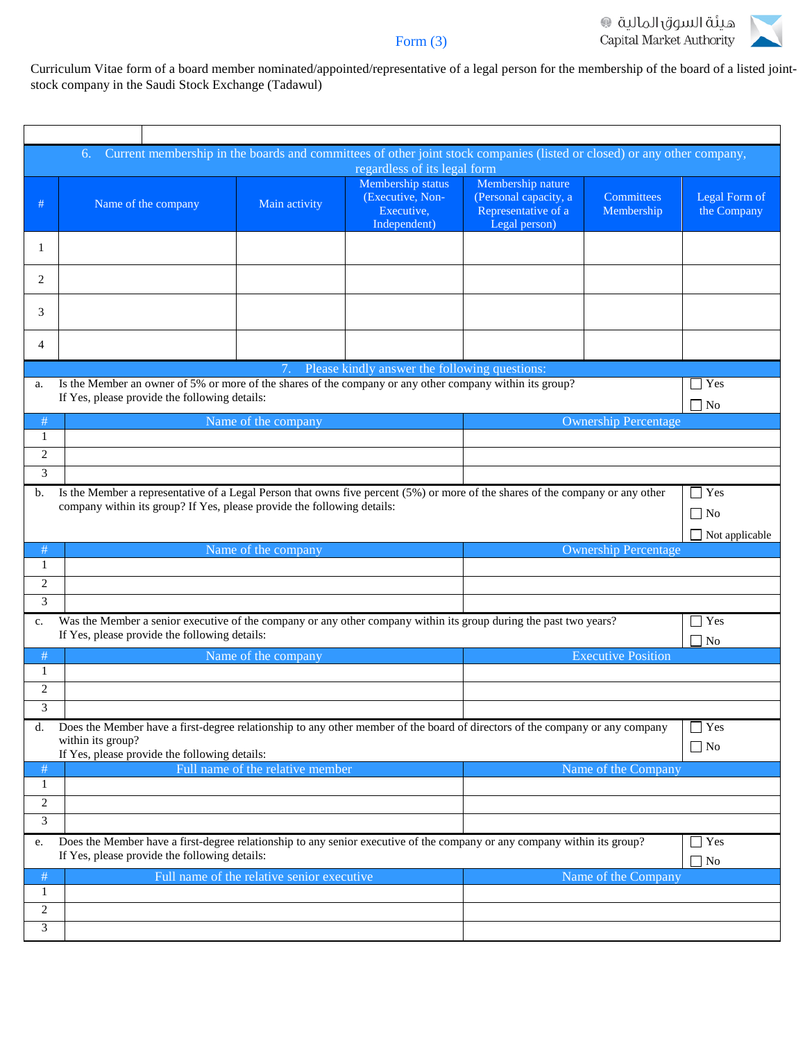

Curriculum Vitae form of a board member nominated/appointed/representative of a legal person for the membership of the board of a listed jointstock company in the Saudi Stock Exchange (Tadawul)

| Current membership in the boards and committees of other joint stock companies (listed or closed) or any other company,<br>6.                                                                             |                                                                                                                                                                           |                                            |                                                                     |                                                                                    |                             |                              |  |  |
|-----------------------------------------------------------------------------------------------------------------------------------------------------------------------------------------------------------|---------------------------------------------------------------------------------------------------------------------------------------------------------------------------|--------------------------------------------|---------------------------------------------------------------------|------------------------------------------------------------------------------------|-----------------------------|------------------------------|--|--|
| regardless of its legal form                                                                                                                                                                              |                                                                                                                                                                           |                                            |                                                                     |                                                                                    |                             |                              |  |  |
| #                                                                                                                                                                                                         | Name of the company                                                                                                                                                       | Main activity                              | Membership status<br>(Executive, Non-<br>Executive,<br>Independent) | Membership nature<br>(Personal capacity, a<br>Representative of a<br>Legal person) | Committees<br>Membership    | Legal Form of<br>the Company |  |  |
| 1                                                                                                                                                                                                         |                                                                                                                                                                           |                                            |                                                                     |                                                                                    |                             |                              |  |  |
| 2                                                                                                                                                                                                         |                                                                                                                                                                           |                                            |                                                                     |                                                                                    |                             |                              |  |  |
| 3                                                                                                                                                                                                         |                                                                                                                                                                           |                                            |                                                                     |                                                                                    |                             |                              |  |  |
| 4                                                                                                                                                                                                         |                                                                                                                                                                           |                                            |                                                                     |                                                                                    |                             |                              |  |  |
|                                                                                                                                                                                                           |                                                                                                                                                                           | 7.                                         | Please kindly answer the following questions:                       |                                                                                    |                             |                              |  |  |
| Is the Member an owner of 5% or more of the shares of the company or any other company within its group?<br>$\exists$ Yes<br>a.<br>If Yes, please provide the following details:<br>7 No                  |                                                                                                                                                                           |                                            |                                                                     |                                                                                    |                             |                              |  |  |
| #                                                                                                                                                                                                         |                                                                                                                                                                           | Name of the company                        |                                                                     |                                                                                    | <b>Ownership Percentage</b> |                              |  |  |
| 1                                                                                                                                                                                                         |                                                                                                                                                                           |                                            |                                                                     |                                                                                    |                             |                              |  |  |
| 2                                                                                                                                                                                                         |                                                                                                                                                                           |                                            |                                                                     |                                                                                    |                             |                              |  |  |
| 3                                                                                                                                                                                                         |                                                                                                                                                                           |                                            |                                                                     |                                                                                    |                             |                              |  |  |
| b.                                                                                                                                                                                                        |                                                                                                                                                                           |                                            |                                                                     |                                                                                    |                             | $\exists$ Yes                |  |  |
| Is the Member a representative of a Legal Person that owns five percent (5%) or more of the shares of the company or any other<br>company within its group? If Yes, please provide the following details: |                                                                                                                                                                           |                                            |                                                                     |                                                                                    |                             |                              |  |  |
|                                                                                                                                                                                                           |                                                                                                                                                                           |                                            |                                                                     |                                                                                    |                             | $\Box$ No                    |  |  |
|                                                                                                                                                                                                           |                                                                                                                                                                           |                                            |                                                                     |                                                                                    |                             | $\Box$ Not applicable        |  |  |
| #                                                                                                                                                                                                         |                                                                                                                                                                           | Name of the company                        |                                                                     |                                                                                    | <b>Ownership Percentage</b> |                              |  |  |
| 1                                                                                                                                                                                                         |                                                                                                                                                                           |                                            |                                                                     |                                                                                    |                             |                              |  |  |
| $\mathbf{2}$                                                                                                                                                                                              |                                                                                                                                                                           |                                            |                                                                     |                                                                                    |                             |                              |  |  |
| 3                                                                                                                                                                                                         |                                                                                                                                                                           |                                            |                                                                     |                                                                                    |                             |                              |  |  |
| c.                                                                                                                                                                                                        | Was the Member a senior executive of the company or any other company within its group during the past two years?<br>If Yes, please provide the following details:        |                                            |                                                                     |                                                                                    |                             | $\exists$ Yes<br>$\Box$ No   |  |  |
| #                                                                                                                                                                                                         | Name of the company                                                                                                                                                       |                                            |                                                                     | <b>Executive Position</b>                                                          |                             |                              |  |  |
| 1                                                                                                                                                                                                         |                                                                                                                                                                           |                                            |                                                                     |                                                                                    |                             |                              |  |  |
| 2                                                                                                                                                                                                         |                                                                                                                                                                           |                                            |                                                                     |                                                                                    |                             |                              |  |  |
| 3                                                                                                                                                                                                         |                                                                                                                                                                           |                                            |                                                                     |                                                                                    |                             |                              |  |  |
| d.                                                                                                                                                                                                        |                                                                                                                                                                           |                                            |                                                                     |                                                                                    |                             | $\exists$ Yes                |  |  |
|                                                                                                                                                                                                           | Does the Member have a first-degree relationship to any other member of the board of directors of the company or any company<br>within its group?                         |                                            |                                                                     |                                                                                    |                             | $\Box$ No                    |  |  |
|                                                                                                                                                                                                           | If Yes, please provide the following details:                                                                                                                             |                                            |                                                                     |                                                                                    |                             |                              |  |  |
| #                                                                                                                                                                                                         |                                                                                                                                                                           | Full name of the relative member           |                                                                     |                                                                                    | Name of the Company         |                              |  |  |
| 1                                                                                                                                                                                                         |                                                                                                                                                                           |                                            |                                                                     |                                                                                    |                             |                              |  |  |
| $\overline{c}$                                                                                                                                                                                            |                                                                                                                                                                           |                                            |                                                                     |                                                                                    |                             |                              |  |  |
| 3                                                                                                                                                                                                         |                                                                                                                                                                           |                                            |                                                                     |                                                                                    |                             |                              |  |  |
| e.                                                                                                                                                                                                        | Does the Member have a first-degree relationship to any senior executive of the company or any company within its group?<br>If Yes, please provide the following details: |                                            |                                                                     |                                                                                    |                             | $\exists$ Yes<br>$\Box$ No   |  |  |
| #                                                                                                                                                                                                         |                                                                                                                                                                           | Full name of the relative senior executive |                                                                     |                                                                                    | Name of the Company         |                              |  |  |
| 1                                                                                                                                                                                                         |                                                                                                                                                                           |                                            |                                                                     |                                                                                    |                             |                              |  |  |
| $\overline{c}$                                                                                                                                                                                            |                                                                                                                                                                           |                                            |                                                                     |                                                                                    |                             |                              |  |  |
| 3                                                                                                                                                                                                         |                                                                                                                                                                           |                                            |                                                                     |                                                                                    |                             |                              |  |  |
|                                                                                                                                                                                                           |                                                                                                                                                                           |                                            |                                                                     |                                                                                    |                             |                              |  |  |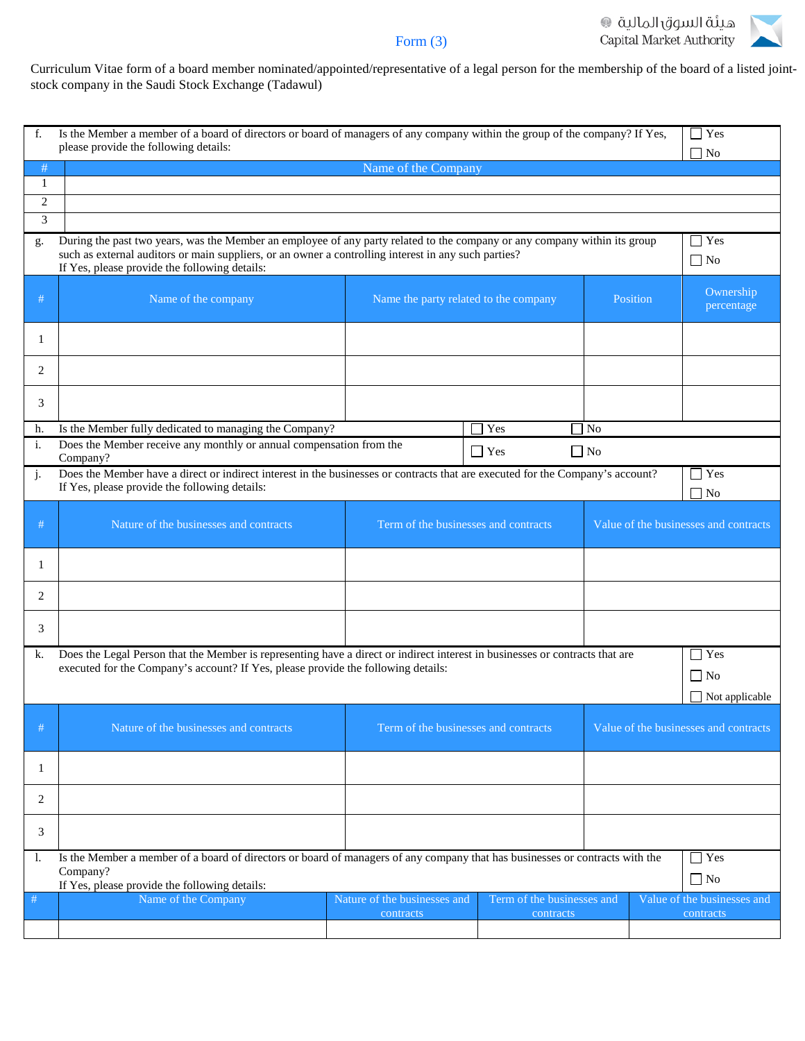

Curriculum Vitae form of a board member nominated/appointed/representative of a legal person for the membership of the board of a listed jointstock company in the Saudi Stock Exchange (Tadawul)

| f.                                                                                                                                                                                                                                                                   | Is the Member a member of a board of directors or board of managers of any company within the group of the company? If Yes,<br>please provide the following details:                                                                                                                                             |                              |                                       |                            |           |                                       | $\blacksquare$ Yes<br>$\Box$ No |  |
|----------------------------------------------------------------------------------------------------------------------------------------------------------------------------------------------------------------------------------------------------------------------|------------------------------------------------------------------------------------------------------------------------------------------------------------------------------------------------------------------------------------------------------------------------------------------------------------------|------------------------------|---------------------------------------|----------------------------|-----------|---------------------------------------|---------------------------------|--|
| #                                                                                                                                                                                                                                                                    | Name of the Company                                                                                                                                                                                                                                                                                              |                              |                                       |                            |           |                                       |                                 |  |
| 1                                                                                                                                                                                                                                                                    |                                                                                                                                                                                                                                                                                                                  |                              |                                       |                            |           |                                       |                                 |  |
| $\overline{c}$                                                                                                                                                                                                                                                       |                                                                                                                                                                                                                                                                                                                  |                              |                                       |                            |           |                                       |                                 |  |
| 3                                                                                                                                                                                                                                                                    |                                                                                                                                                                                                                                                                                                                  |                              |                                       |                            |           |                                       |                                 |  |
| g.                                                                                                                                                                                                                                                                   | During the past two years, was the Member an employee of any party related to the company or any company within its group<br>$\exists$ Yes<br>such as external auditors or main suppliers, or an owner a controlling interest in any such parties?<br>$\Box$ No<br>If Yes, please provide the following details: |                              |                                       |                            |           |                                       |                                 |  |
| #                                                                                                                                                                                                                                                                    | Name of the company                                                                                                                                                                                                                                                                                              |                              | Name the party related to the company |                            |           | Position                              | Ownership<br>percentage         |  |
| 1                                                                                                                                                                                                                                                                    |                                                                                                                                                                                                                                                                                                                  |                              |                                       |                            |           |                                       |                                 |  |
| 2                                                                                                                                                                                                                                                                    |                                                                                                                                                                                                                                                                                                                  |                              |                                       |                            |           |                                       |                                 |  |
| 3                                                                                                                                                                                                                                                                    |                                                                                                                                                                                                                                                                                                                  |                              |                                       |                            |           |                                       |                                 |  |
| h.                                                                                                                                                                                                                                                                   | Is the Member fully dedicated to managing the Company?                                                                                                                                                                                                                                                           |                              |                                       | Yes                        | l No      |                                       |                                 |  |
| i.                                                                                                                                                                                                                                                                   | Does the Member receive any monthly or annual compensation from the<br>Company?                                                                                                                                                                                                                                  |                              |                                       | $\Box$ Yes                 | $\Box$ No |                                       |                                 |  |
| Does the Member have a direct or indirect interest in the businesses or contracts that are executed for the Company's account?<br>Yes<br>j.<br>If Yes, please provide the following details:<br>$\Box$ No                                                            |                                                                                                                                                                                                                                                                                                                  |                              |                                       |                            |           |                                       |                                 |  |
| #                                                                                                                                                                                                                                                                    | Nature of the businesses and contracts                                                                                                                                                                                                                                                                           |                              | Term of the businesses and contracts  |                            |           | Value of the businesses and contracts |                                 |  |
| 1                                                                                                                                                                                                                                                                    |                                                                                                                                                                                                                                                                                                                  |                              |                                       |                            |           |                                       |                                 |  |
| 2                                                                                                                                                                                                                                                                    |                                                                                                                                                                                                                                                                                                                  |                              |                                       |                            |           |                                       |                                 |  |
| 3                                                                                                                                                                                                                                                                    |                                                                                                                                                                                                                                                                                                                  |                              |                                       |                            |           |                                       |                                 |  |
| Does the Legal Person that the Member is representing have a direct or indirect interest in businesses or contracts that are<br>$\Box$ Yes<br>k.<br>executed for the Company's account? If Yes, please provide the following details:<br>$\Box$ No<br>Not applicable |                                                                                                                                                                                                                                                                                                                  |                              |                                       |                            |           |                                       |                                 |  |
| #                                                                                                                                                                                                                                                                    | Nature of the businesses and contracts                                                                                                                                                                                                                                                                           |                              | Term of the businesses and contracts  |                            |           | Value of the businesses and contracts |                                 |  |
| 1                                                                                                                                                                                                                                                                    |                                                                                                                                                                                                                                                                                                                  |                              |                                       |                            |           |                                       |                                 |  |
| 2                                                                                                                                                                                                                                                                    |                                                                                                                                                                                                                                                                                                                  |                              |                                       |                            |           |                                       |                                 |  |
| 3                                                                                                                                                                                                                                                                    |                                                                                                                                                                                                                                                                                                                  |                              |                                       |                            |           |                                       |                                 |  |
| 1.                                                                                                                                                                                                                                                                   | $\Box$ Yes<br>Is the Member a member of a board of directors or board of managers of any company that has businesses or contracts with the<br>Company?<br>$\Box$ No                                                                                                                                              |                              |                                       |                            |           |                                       |                                 |  |
| $\#$                                                                                                                                                                                                                                                                 | If Yes, please provide the following details:<br>Name of the Company                                                                                                                                                                                                                                             | Nature of the businesses and |                                       | Term of the businesses and |           |                                       | Value of the businesses and     |  |
|                                                                                                                                                                                                                                                                      |                                                                                                                                                                                                                                                                                                                  | contracts                    |                                       | contracts                  |           |                                       | contracts                       |  |
|                                                                                                                                                                                                                                                                      |                                                                                                                                                                                                                                                                                                                  |                              |                                       |                            |           |                                       |                                 |  |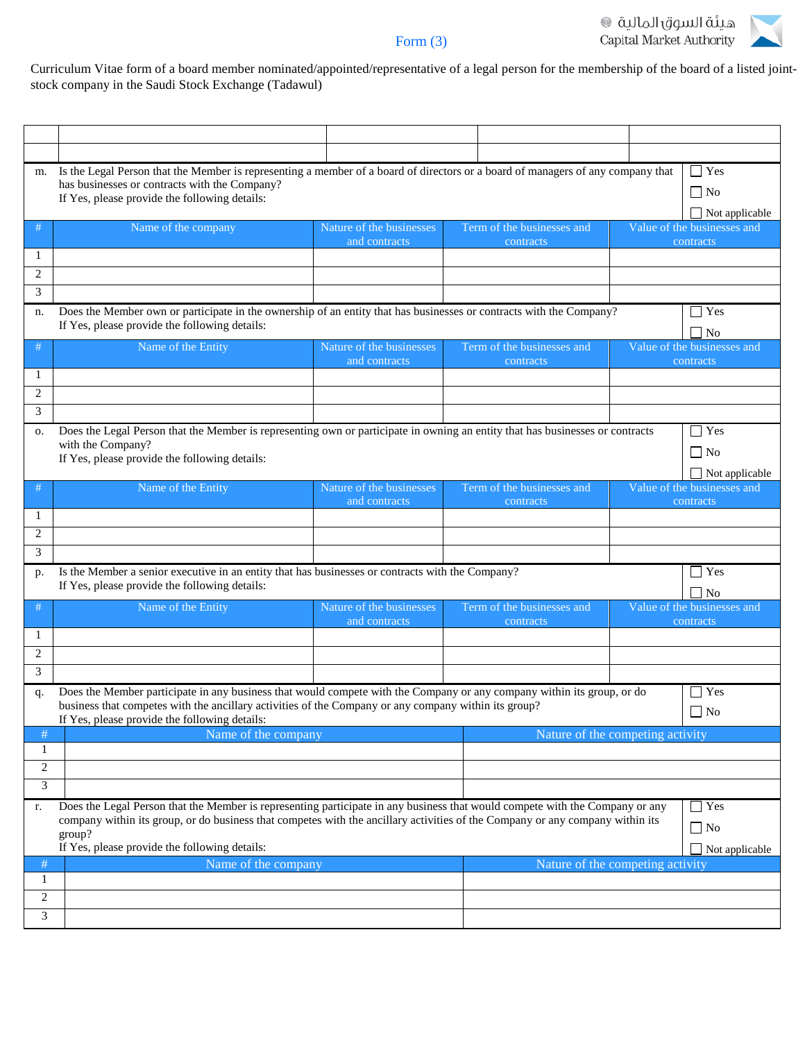# هيئة السوق المالية<br>Capital Market Authority



## Form (3)

Curriculum Vitae form of a board member nominated/appointed/representative of a legal person for the membership of the board of a listed jointstock company in the Saudi Stock Exchange (Tadawul)

| m.                                                                                                                                                                                                                                                                                                                                                        | Is the Legal Person that the Member is representing a member of a board of directors or a board of managers of any company that<br>has businesses or contracts with the Company?<br>If Yes, please provide the following details: |                                           |                       |                                         |  |                                                                   |  |  |  |
|-----------------------------------------------------------------------------------------------------------------------------------------------------------------------------------------------------------------------------------------------------------------------------------------------------------------------------------------------------------|-----------------------------------------------------------------------------------------------------------------------------------------------------------------------------------------------------------------------------------|-------------------------------------------|-----------------------|-----------------------------------------|--|-------------------------------------------------------------------|--|--|--|
|                                                                                                                                                                                                                                                                                                                                                           |                                                                                                                                                                                                                                   |                                           | $\Box$ Not applicable |                                         |  |                                                                   |  |  |  |
| #                                                                                                                                                                                                                                                                                                                                                         | Name of the company                                                                                                                                                                                                               | Nature of the businesses                  |                       | Term of the businesses and              |  | Value of the businesses and                                       |  |  |  |
| 1                                                                                                                                                                                                                                                                                                                                                         |                                                                                                                                                                                                                                   | and contracts                             |                       | contracts                               |  | contracts                                                         |  |  |  |
| 2                                                                                                                                                                                                                                                                                                                                                         |                                                                                                                                                                                                                                   |                                           |                       |                                         |  |                                                                   |  |  |  |
| 3                                                                                                                                                                                                                                                                                                                                                         |                                                                                                                                                                                                                                   |                                           |                       |                                         |  |                                                                   |  |  |  |
| n.                                                                                                                                                                                                                                                                                                                                                        | Does the Member own or participate in the ownership of an entity that has businesses or contracts with the Company?<br>If Yes, please provide the following details:                                                              |                                           |                       |                                         |  |                                                                   |  |  |  |
| #                                                                                                                                                                                                                                                                                                                                                         | Name of the Entity                                                                                                                                                                                                                | Nature of the businesses<br>and contracts |                       | Term of the businesses and<br>contracts |  | Value of the businesses and<br>contracts                          |  |  |  |
| 1                                                                                                                                                                                                                                                                                                                                                         |                                                                                                                                                                                                                                   |                                           |                       |                                         |  |                                                                   |  |  |  |
| $\overline{2}$                                                                                                                                                                                                                                                                                                                                            |                                                                                                                                                                                                                                   |                                           |                       |                                         |  |                                                                   |  |  |  |
| 3                                                                                                                                                                                                                                                                                                                                                         |                                                                                                                                                                                                                                   |                                           |                       |                                         |  | $\Box$ Yes                                                        |  |  |  |
| О.                                                                                                                                                                                                                                                                                                                                                        | Does the Legal Person that the Member is representing own or participate in owning an entity that has businesses or contracts<br>with the Company?<br>If Yes, please provide the following details:                               |                                           |                       |                                         |  |                                                                   |  |  |  |
| #                                                                                                                                                                                                                                                                                                                                                         | Name of the Entity                                                                                                                                                                                                                | Nature of the businesses<br>and contracts |                       | Term of the businesses and<br>contracts |  | $\Box$ Not applicable<br>Value of the businesses and<br>contracts |  |  |  |
| 1                                                                                                                                                                                                                                                                                                                                                         |                                                                                                                                                                                                                                   |                                           |                       |                                         |  |                                                                   |  |  |  |
| $\overline{2}$                                                                                                                                                                                                                                                                                                                                            |                                                                                                                                                                                                                                   |                                           |                       |                                         |  |                                                                   |  |  |  |
| 3                                                                                                                                                                                                                                                                                                                                                         |                                                                                                                                                                                                                                   |                                           |                       |                                         |  |                                                                   |  |  |  |
| p.                                                                                                                                                                                                                                                                                                                                                        | Is the Member a senior executive in an entity that has businesses or contracts with the Company?<br>If Yes, please provide the following details:                                                                                 |                                           |                       |                                         |  | $\Box$ Yes<br>$\overline{N}$                                      |  |  |  |
| #                                                                                                                                                                                                                                                                                                                                                         | Name of the Entity                                                                                                                                                                                                                | Nature of the businesses<br>and contracts |                       | Term of the businesses and<br>contracts |  | Value of the businesses and<br>contracts                          |  |  |  |
| 1                                                                                                                                                                                                                                                                                                                                                         |                                                                                                                                                                                                                                   |                                           |                       |                                         |  |                                                                   |  |  |  |
| 2                                                                                                                                                                                                                                                                                                                                                         |                                                                                                                                                                                                                                   |                                           |                       |                                         |  |                                                                   |  |  |  |
| 3                                                                                                                                                                                                                                                                                                                                                         |                                                                                                                                                                                                                                   |                                           |                       |                                         |  |                                                                   |  |  |  |
| q.                                                                                                                                                                                                                                                                                                                                                        | Does the Member participate in any business that would compete with the Company or any company within its group, or do<br>business that competes with the ancillary activities of the Company or any company within its group?    |                                           |                       |                                         |  | $\vert$ Yes                                                       |  |  |  |
|                                                                                                                                                                                                                                                                                                                                                           | If Yes, please provide the following details:                                                                                                                                                                                     |                                           |                       | $\Box$ No                               |  |                                                                   |  |  |  |
| #                                                                                                                                                                                                                                                                                                                                                         | Name of the company                                                                                                                                                                                                               |                                           |                       | Nature of the competing activity        |  |                                                                   |  |  |  |
| $\mathbf{1}$                                                                                                                                                                                                                                                                                                                                              |                                                                                                                                                                                                                                   |                                           |                       |                                         |  |                                                                   |  |  |  |
| $\overline{2}$                                                                                                                                                                                                                                                                                                                                            |                                                                                                                                                                                                                                   |                                           |                       |                                         |  |                                                                   |  |  |  |
| 3                                                                                                                                                                                                                                                                                                                                                         |                                                                                                                                                                                                                                   |                                           |                       |                                         |  |                                                                   |  |  |  |
| Does the Legal Person that the Member is representing participate in any business that would compete with the Company or any<br>$\Box$ Yes<br>r.<br>company within its group, or do business that competes with the ancillary activities of the Company or any company within its<br>$\Box$ No<br>group?<br>If Yes, please provide the following details: |                                                                                                                                                                                                                                   |                                           |                       |                                         |  | $\Box$ Not applicable                                             |  |  |  |
| #                                                                                                                                                                                                                                                                                                                                                         | Name of the company                                                                                                                                                                                                               |                                           |                       | Nature of the competing activity        |  |                                                                   |  |  |  |
| 1                                                                                                                                                                                                                                                                                                                                                         |                                                                                                                                                                                                                                   |                                           |                       |                                         |  |                                                                   |  |  |  |
| 2                                                                                                                                                                                                                                                                                                                                                         |                                                                                                                                                                                                                                   |                                           |                       |                                         |  |                                                                   |  |  |  |
| 3                                                                                                                                                                                                                                                                                                                                                         |                                                                                                                                                                                                                                   |                                           |                       |                                         |  |                                                                   |  |  |  |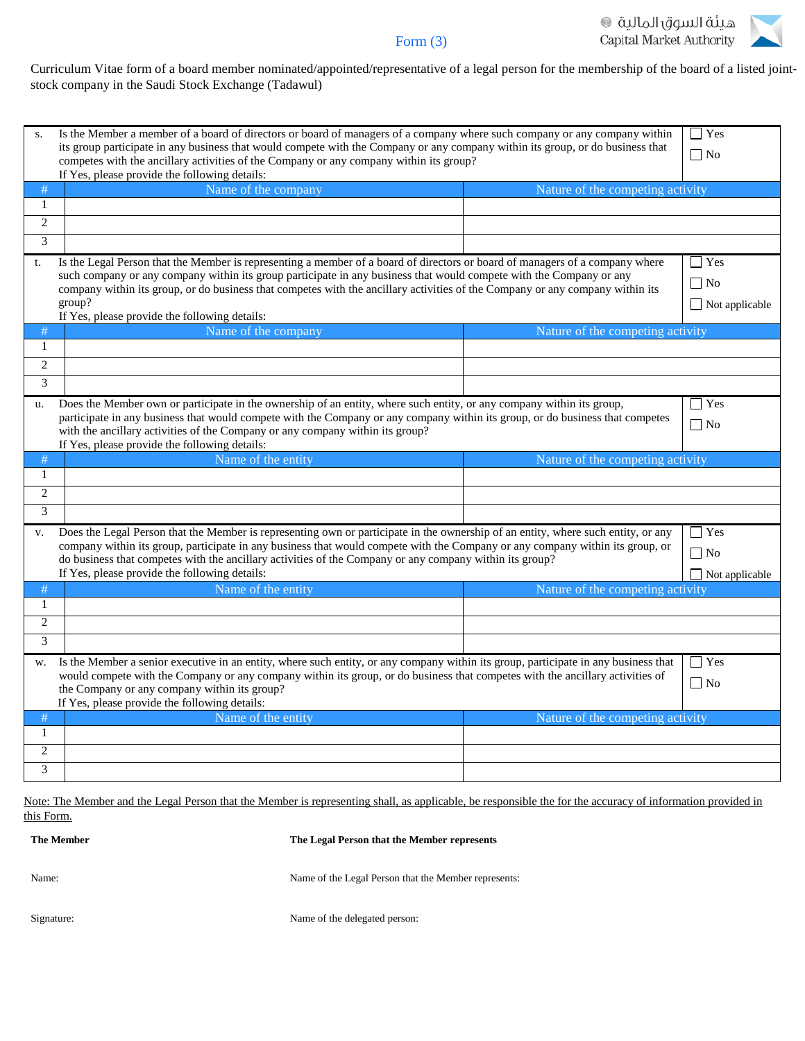



Curriculum Vitae form of a board member nominated/appointed/representative of a legal person for the membership of the board of a listed jointstock company in the Saudi Stock Exchange (Tadawul)

| S.                                                                                                                                               | Is the Member a member of a board of directors or board of managers of a company where such company or any company within<br>its group participate in any business that would compete with the Company or any company within its group, or do business that<br>competes with the ancillary activities of the Company or any company within its group? |                                  |                       |  |  |  |
|--------------------------------------------------------------------------------------------------------------------------------------------------|-------------------------------------------------------------------------------------------------------------------------------------------------------------------------------------------------------------------------------------------------------------------------------------------------------------------------------------------------------|----------------------------------|-----------------------|--|--|--|
| #                                                                                                                                                | If Yes, please provide the following details:<br>Name of the company<br>Nature of the competing activity                                                                                                                                                                                                                                              |                                  |                       |  |  |  |
| $\mathbf{1}$                                                                                                                                     |                                                                                                                                                                                                                                                                                                                                                       |                                  |                       |  |  |  |
| $\overline{2}$                                                                                                                                   |                                                                                                                                                                                                                                                                                                                                                       |                                  |                       |  |  |  |
| 3                                                                                                                                                |                                                                                                                                                                                                                                                                                                                                                       |                                  |                       |  |  |  |
| Is the Legal Person that the Member is representing a member of a board of directors or board of managers of a company where<br>$\Box$ Yes<br>t. |                                                                                                                                                                                                                                                                                                                                                       |                                  |                       |  |  |  |
| such company or any company within its group participate in any business that would compete with the Company or any                              |                                                                                                                                                                                                                                                                                                                                                       |                                  |                       |  |  |  |
|                                                                                                                                                  | company within its group, or do business that competes with the ancillary activities of the Company or any company within its                                                                                                                                                                                                                         |                                  | $\Box$ No             |  |  |  |
|                                                                                                                                                  | group?<br>If Yes, please provide the following details:                                                                                                                                                                                                                                                                                               |                                  | $\Box$ Not applicable |  |  |  |
| #                                                                                                                                                | Name of the company                                                                                                                                                                                                                                                                                                                                   | Nature of the competing activity |                       |  |  |  |
| 1                                                                                                                                                |                                                                                                                                                                                                                                                                                                                                                       |                                  |                       |  |  |  |
| $\overline{2}$                                                                                                                                   |                                                                                                                                                                                                                                                                                                                                                       |                                  |                       |  |  |  |
| 3                                                                                                                                                |                                                                                                                                                                                                                                                                                                                                                       |                                  |                       |  |  |  |
| u.                                                                                                                                               | Does the Member own or participate in the ownership of an entity, where such entity, or any company within its group,                                                                                                                                                                                                                                 |                                  | $\Box$ Yes            |  |  |  |
|                                                                                                                                                  | participate in any business that would compete with the Company or any company within its group, or do business that competes                                                                                                                                                                                                                         |                                  |                       |  |  |  |
|                                                                                                                                                  | with the ancillary activities of the Company or any company within its group?<br>If Yes, please provide the following details:                                                                                                                                                                                                                        |                                  | $\Box$ No             |  |  |  |
|                                                                                                                                                  |                                                                                                                                                                                                                                                                                                                                                       |                                  |                       |  |  |  |
|                                                                                                                                                  |                                                                                                                                                                                                                                                                                                                                                       |                                  |                       |  |  |  |
| #<br>1                                                                                                                                           | Name of the entity                                                                                                                                                                                                                                                                                                                                    | Nature of the competing activity |                       |  |  |  |
| $\overline{c}$                                                                                                                                   |                                                                                                                                                                                                                                                                                                                                                       |                                  |                       |  |  |  |
| 3                                                                                                                                                |                                                                                                                                                                                                                                                                                                                                                       |                                  |                       |  |  |  |
| V.                                                                                                                                               |                                                                                                                                                                                                                                                                                                                                                       |                                  | $\Box$ Yes            |  |  |  |
|                                                                                                                                                  | Does the Legal Person that the Member is representing own or participate in the ownership of an entity, where such entity, or any<br>company within its group, participate in any business that would compete with the Company or any company within its group, or                                                                                    |                                  |                       |  |  |  |
|                                                                                                                                                  | do business that competes with the ancillary activities of the Company or any company within its group?                                                                                                                                                                                                                                               |                                  | $\Box$ No             |  |  |  |
|                                                                                                                                                  | If Yes, please provide the following details:                                                                                                                                                                                                                                                                                                         |                                  | $\Box$ Not applicable |  |  |  |
| #                                                                                                                                                | Name of the entity                                                                                                                                                                                                                                                                                                                                    | Nature of the competing activity |                       |  |  |  |
| 1                                                                                                                                                |                                                                                                                                                                                                                                                                                                                                                       |                                  |                       |  |  |  |
| $\overline{c}$                                                                                                                                   |                                                                                                                                                                                                                                                                                                                                                       |                                  |                       |  |  |  |
| 3                                                                                                                                                |                                                                                                                                                                                                                                                                                                                                                       |                                  |                       |  |  |  |
| W.                                                                                                                                               | Is the Member a senior executive in an entity, where such entity, or any company within its group, participate in any business that                                                                                                                                                                                                                   |                                  | $\Box$ Yes            |  |  |  |
|                                                                                                                                                  | would compete with the Company or any company within its group, or do business that competes with the ancillary activities of                                                                                                                                                                                                                         |                                  | $\Box$ No             |  |  |  |
|                                                                                                                                                  | the Company or any company within its group?<br>If Yes, please provide the following details:                                                                                                                                                                                                                                                         |                                  |                       |  |  |  |
| #                                                                                                                                                | Name of the entity                                                                                                                                                                                                                                                                                                                                    | Nature of the competing activity |                       |  |  |  |
| 1                                                                                                                                                |                                                                                                                                                                                                                                                                                                                                                       |                                  |                       |  |  |  |
| $\overline{c}$                                                                                                                                   |                                                                                                                                                                                                                                                                                                                                                       |                                  |                       |  |  |  |

Note: The Member and the Legal Person that the Member is representing shall, as applicable, be responsible the for the accuracy of information provided in this Form.

**The Member The Legal Person that the Member represents**

| The Member |  |  |
|------------|--|--|
| Name:      |  |  |
| Signature: |  |  |

Name of the Legal Person that the Member represents:

Name of the delegated person: